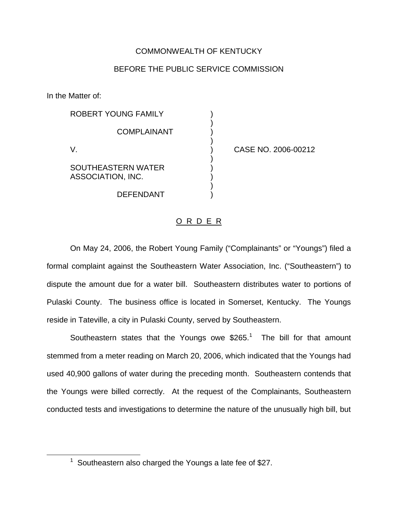## COMMONWEALTH OF KENTUCKY

## BEFORE THE PUBLIC SERVICE COMMISSION

)

)

)

)

In the Matter of:

ROBERT YOUNG FAMILY **COMPLAINANT** V. ) CASE NO. 2006-00212 SOUTHEASTERN WATER

ASSOCIATION, INC.

## O R D E R

DEFENDANT )

On May 24, 2006, the Robert Young Family ("Complainants" or "Youngs") filed a formal complaint against the Southeastern Water Association, Inc. ("Southeastern") to dispute the amount due for a water bill. Southeastern distributes water to portions of Pulaski County. The business office is located in Somerset, Kentucky. The Youngs reside in Tateville, a city in Pulaski County, served by Southeastern.

Southeastern states that the Youngs owe  $$265<sup>1</sup>$  The bill for that amount stemmed from a meter reading on March 20, 2006, which indicated that the Youngs had used 40,900 gallons of water during the preceding month. Southeastern contends that the Youngs were billed correctly. At the request of the Complainants, Southeastern conducted tests and investigations to determine the nature of the unusually high bill, but

 $1$  Southeastern also charged the Youngs a late fee of \$27.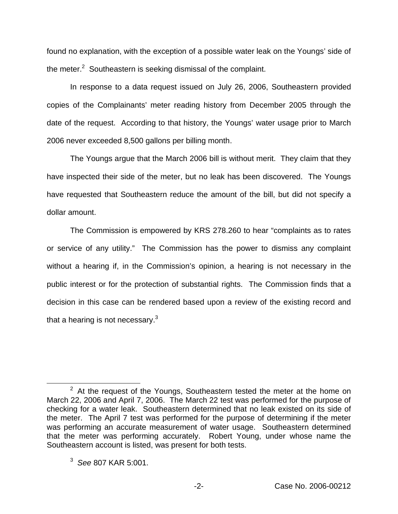found no explanation, with the exception of a possible water leak on the Youngs' side of the meter.<sup>2</sup> Southeastern is seeking dismissal of the complaint.

In response to a data request issued on July 26, 2006, Southeastern provided copies of the Complainants' meter reading history from December 2005 through the date of the request. According to that history, the Youngs' water usage prior to March 2006 never exceeded 8,500 gallons per billing month.

The Youngs argue that the March 2006 bill is without merit. They claim that they have inspected their side of the meter, but no leak has been discovered. The Youngs have requested that Southeastern reduce the amount of the bill, but did not specify a dollar amount.

The Commission is empowered by KRS 278.260 to hear "complaints as to rates or service of any utility." The Commission has the power to dismiss any complaint without a hearing if, in the Commission's opinion, a hearing is not necessary in the public interest or for the protection of substantial rights. The Commission finds that a decision in this case can be rendered based upon a review of the existing record and that a hearing is not necessary. $3$ 

 $2$  At the request of the Youngs, Southeastern tested the meter at the home on March 22, 2006 and April 7, 2006. The March 22 test was performed for the purpose of checking for a water leak. Southeastern determined that no leak existed on its side of the meter. The April 7 test was performed for the purpose of determining if the meter was performing an accurate measurement of water usage. Southeastern determined that the meter was performing accurately. Robert Young, under whose name the Southeastern account is listed, was present for both tests.

<sup>3</sup> *See* 807 KAR 5:001.